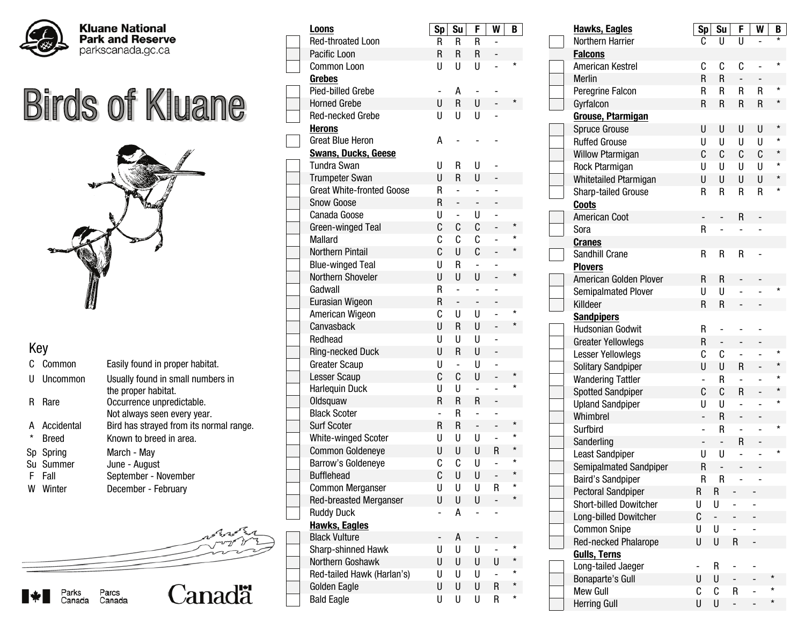

## **Birds of Kluane**



## Key

- C Common Easily found in proper habitat.
- U Uncommon Usually found in small numbers in
- R Rare **Occurrence unpredictable.**
- 
- \* Breed
- Sp Spring
- Su Summer
- F Fall
- W Winter

|         |              | Not always seen every year.             |
|---------|--------------|-----------------------------------------|
|         | A Accidental | Bird has strayed from its normal range. |
| $\star$ | <b>Breed</b> | Known to breed in area.                 |
|         | Sp Spring    | March - May                             |
|         | Su Summer    | June - August                           |
|         | F Fall       | September - November                    |
|         | W Winter     | December - February                     |
|         |              |                                         |
|         |              |                                         |

the proper habitat.



| Loons                            | Sp                       | Su             | F                        | W                        | B        |
|----------------------------------|--------------------------|----------------|--------------------------|--------------------------|----------|
| <b>Red-throated Loon</b>         | R                        | R              | R                        |                          |          |
| Pacific Loon                     | R                        | R              | R                        |                          |          |
| <b>Common Loon</b>               | U                        | U              | U                        |                          | $\star$  |
| <b>Grebes</b>                    |                          |                |                          |                          |          |
| Pied-billed Grebe                |                          | А              |                          |                          |          |
| <b>Horned Grebe</b>              | U                        | $\mathsf R$    | U                        |                          | $^\star$ |
| Red-necked Grebe                 | U                        | U              | U                        |                          |          |
| <u>Herons</u>                    |                          |                |                          |                          |          |
| <b>Great Blue Heron</b>          | А                        |                |                          |                          |          |
| <b>Swans, Ducks, Geese</b>       |                          |                |                          |                          |          |
| <b>Tundra Swan</b>               | U                        | R              | U                        |                          |          |
| <b>Trumpeter Swan</b>            | U                        | R              | U                        |                          |          |
| <b>Great White-fronted Goose</b> | R                        | -              | ÷,                       |                          |          |
| <b>Snow Goose</b>                | R                        | -              | -                        |                          |          |
| Canada Goose                     | U                        | $\overline{a}$ | U                        |                          |          |
| Green-winged Teal                | C                        | C              | C                        |                          | $^\star$ |
| <b>Mallard</b>                   | C                        | C              | C                        |                          | $\star$  |
| <b>Northern Pintail</b>          | C                        | U              | C                        |                          | $^\star$ |
| <b>Blue-winged Teal</b>          | U                        | R              | $\overline{\phantom{0}}$ |                          |          |
| Northern Shoveler                | U                        | U              | U                        |                          | *        |
| Gadwall                          | R                        | ÷              | $\overline{\phantom{0}}$ |                          |          |
| Eurasian Wigeon                  | R                        | $\overline{a}$ | $\overline{\phantom{0}}$ |                          |          |
| American Wigeon                  | C                        | U              | U                        | $\overline{a}$           | $\star$  |
| Canvasback                       | U                        | R              | U                        |                          | $\star$  |
| Redhead                          | U                        | U              | U                        |                          |          |
| <b>Ring-necked Duck</b>          | U                        | R              | U                        |                          |          |
| <b>Greater Scaup</b>             | U                        | -              | U                        |                          |          |
| Lesser Scaup                     | C                        | C              | U                        |                          |          |
| Harlequin Duck                   | U                        | U              | $\overline{a}$           |                          | $\star$  |
| Oldsquaw                         | R                        | R              | R                        |                          |          |
| <b>Black Scoter</b>              | $\overline{\phantom{a}}$ | R              |                          |                          |          |
| <b>Surf Scoter</b>               | R                        | R              | $\overline{\phantom{0}}$ |                          | $^\star$ |
| White-winged Scoter              | U                        | U              | U                        |                          | $\star$  |
| <b>Common Goldeneye</b>          | U                        | U              | U                        | R                        | $\star$  |
| Barrow's Goldeneye               | C                        | C              | U                        |                          | $\star$  |
| <b>Bufflehead</b>                | C                        | U              | U                        |                          |          |
| <b>Common Merganser</b>          | U                        | U              | U                        | R                        | $\star$  |
| <b>Red-breasted Merganser</b>    | U                        | U              | U                        |                          | $\star$  |
| <b>Ruddy Duck</b>                |                          | А              |                          |                          |          |
| <b>Hawks, Eagles</b>             |                          |                |                          |                          |          |
| <b>Black Vulture</b>             |                          | А              |                          |                          |          |
| Sharp-shinned Hawk               | U                        | U              | U                        | $\overline{\phantom{0}}$ | $\star$  |
| Northern Goshawk                 | U                        | U              | U                        | U                        | *        |
| Red-tailed Hawk (Harlan's)       | U                        | U              | U                        |                          | *        |
| Golden Eagle                     | U                        | U              | U                        | $\mathsf R$              | *        |
| <b>Bald Eagle</b>                | U                        | U              | U                        | R                        | *        |

| <b>Hawks, Eagles</b>          | Sp             | Su             | F                        | W | B       |
|-------------------------------|----------------|----------------|--------------------------|---|---------|
| Northern Harrier              | C              | U              | U                        |   |         |
| <b>Falcons</b>                |                |                |                          |   |         |
| American Kestrel              | C              | C              | C                        |   | $\star$ |
| Merlin                        | R              | R              | $\overline{a}$           |   |         |
| Peregrine Falcon              | R              | R              | R                        | R |         |
| Gyrfalcon                     | $\mathsf R$    | R              | R                        | R | $\star$ |
| <b>Grouse, Ptarmigan</b>      |                |                |                          |   |         |
| <b>Spruce Grouse</b>          | U              | U              | U                        | U | $\star$ |
| <b>Ruffed Grouse</b>          | U              | U              | U                        | U | $\star$ |
| <b>Willow Ptarmigan</b>       | C              | C              | C                        | C | $\star$ |
| Rock Ptarmigan                | U              | U              | U                        | U |         |
| Whitetailed Ptarmigan         | U              | U              | U                        | U |         |
| Sharp-tailed Grouse           | R              | R              | R                        | R | $\star$ |
| <b>Coots</b>                  |                |                |                          |   |         |
| <b>American Coot</b>          |                |                | R                        |   |         |
| Sora                          | R              | $\overline{a}$ |                          |   |         |
| <b>Cranes</b>                 |                |                |                          |   |         |
| Sandhill Crane                | R              | R              | R                        |   |         |
| <b>Plovers</b>                |                |                |                          |   |         |
| American Golden Plover        | R              | R              |                          |   |         |
| <b>Semipalmated Plover</b>    | U              | U              |                          |   |         |
| Killdeer                      | R              | R              |                          |   |         |
| <b>Sandpipers</b>             |                |                |                          |   |         |
| <b>Hudsonian Godwit</b>       | R              |                |                          |   |         |
| <b>Greater Yellowlegs</b>     | R              | -              |                          |   |         |
| Lesser Yellowlegs             | C              | C              | $\overline{\phantom{0}}$ | - | $\star$ |
| Solitary Sandpiper            | U              | U              | R                        |   |         |
| <b>Wandering Tattler</b>      | ÷              | R              | $\overline{a}$           | - |         |
| <b>Spotted Sandpiper</b>      | C              | C              | R                        |   |         |
| <b>Upland Sandpiper</b>       | U              | U              | -                        | - | $\star$ |
| Whimbrel                      |                | R              | -                        |   |         |
| Surfbird                      | ÷              | R              | $\overline{\phantom{0}}$ | - | $\star$ |
| Sanderling                    | $\overline{a}$ | $\frac{1}{2}$  | R                        |   | $\star$ |
| Least Sandpiper               | U              | U              | -                        |   |         |
| Semipalmated Sandpiper        | $\mathsf R$    | $\overline{a}$ |                          |   |         |
| <b>Baird's Sandpiper</b>      | R              | R              |                          |   |         |
| <b>Pectoral Sandpiper</b>     | R              | R              |                          |   |         |
| <b>Short-billed Dowitcher</b> | U              | U              | $\overline{a}$           |   |         |
| Long-billed Dowitcher         | C              | ÷,             |                          |   |         |
| <b>Common Snipe</b>           | U              | U              |                          |   |         |
| Red-necked Phalarope          | U              | U              | $\mathsf R$              |   |         |
| <b>Gulls, Terns</b>           |                |                |                          |   |         |
| Long-tailed Jaeger            |                | R              |                          |   | *       |
| Bonaparte's Gull              | U              | U              |                          |   | *       |
| <b>Mew Gull</b>               | С              | C              | R                        | - | $\star$ |
| <b>Herring Gull</b>           | U              | U              |                          |   |         |